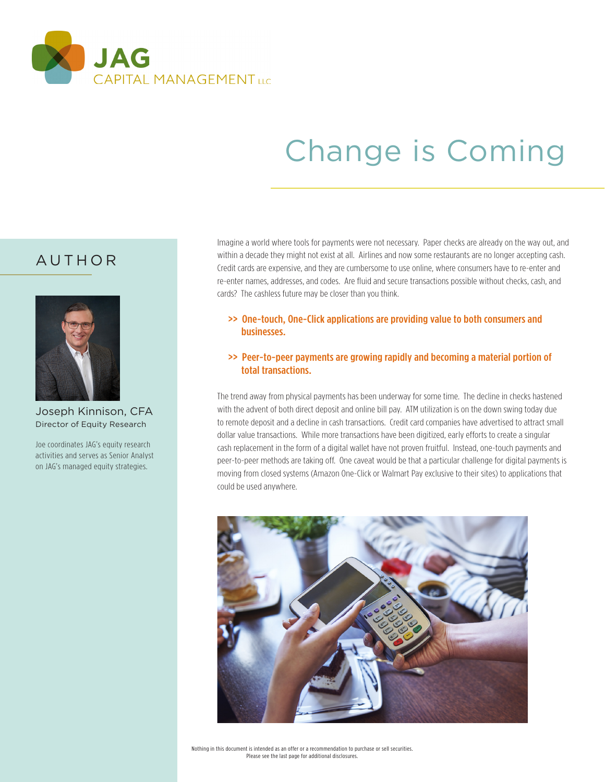

# Change is Coming

## AUTHOR



Joseph Kinnison, CFA Director of Equity Research

Joe coordinates JAG's equity research activities and serves as Senior Analyst on JAG's managed equity strategies.

Imagine a world where tools for payments were not necessary. Paper checks are already on the way out, and within a decade they might not exist at all. Airlines and now some restaurants are no longer accepting cash. Credit cards are expensive, and they are cumbersome to use online, where consumers have to re-enter and re-enter names, addresses, and codes. Are fluid and secure transactions possible without checks, cash, and cards? The cashless future may be closer than you think.

 >> One-touch, One-Click applications are providing value to both consumers and businesses.

#### >> Peer-to-peer payments are growing rapidly and becoming a material portion of total transactions.

The trend away from physical payments has been underway for some time. The decline in checks hastened with the advent of both direct deposit and online bill pay. ATM utilization is on the down swing today due to remote deposit and a decline in cash transactions. Credit card companies have advertised to attract small dollar value transactions. While more transactions have been digitized, early efforts to create a singular cash replacement in the form of a digital wallet have not proven fruitful. Instead, one-touch payments and peer-to-peer methods are taking off. One caveat would be that a particular challenge for digital payments is moving from closed systems (Amazon One-Click or Walmart Pay exclusive to their sites) to applications that could be used anywhere.

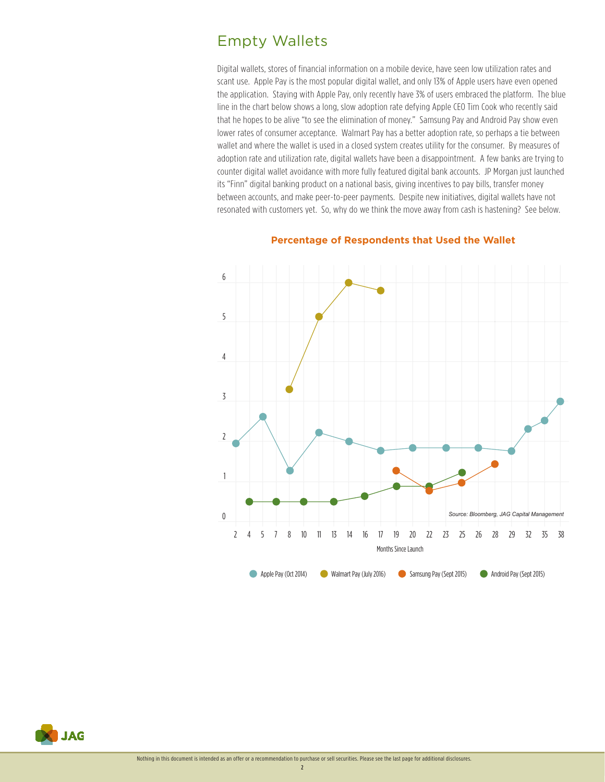## Empty Wallets

Digital wallets, stores of financial information on a mobile device, have seen low utilization rates and scant use. Apple Pay is the most popular digital wallet, and only 13% of Apple users have even opened the application. Staying with Apple Pay, only recently have 3% of users embraced the platform. The blue line in the chart below shows a long, slow adoption rate defying Apple CEO Tim Cook who recently said that he hopes to be alive "to see the elimination of money." Samsung Pay and Android Pay show even lower rates of consumer acceptance. Walmart Pay has a better adoption rate, so perhaps a tie between wallet and where the wallet is used in a closed system creates utility for the consumer. By measures of adoption rate and utilization rate, digital wallets have been a disappointment. A few banks are trying to counter digital wallet avoidance with more fully featured digital bank accounts. JP Morgan just launched its "Finn" digital banking product on a national basis, giving incentives to pay bills, transfer money between accounts, and make peer-to-peer payments. Despite new initiatives, digital wallets have not resonated with customers yet. So, why do we think the move away from cash is hastening? See below.



#### **Percentage of Respondents that Used the Wallet**



2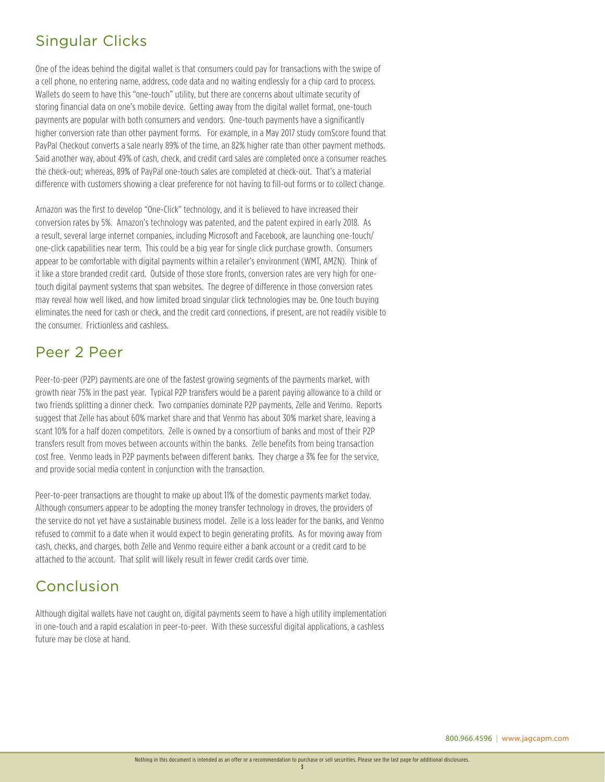## Singular Clicks

One of the ideas behind the digital wallet is that consumers could pay for transactions with the swipe of a cell phone, no entering name, address, code data and no waiting endlessly for a chip card to process. Wallets do seem to have this "one-touch" utility, but there are concerns about ultimate security of storing financial data on one's mobile device. Getting away from the digital wallet format, one-touch payments are popular with both consumers and vendors. One-touch payments have a significantly higher conversion rate than other payment forms. For example, in a May 2017 study comScore found that PayPal Checkout converts a sale nearly 89% of the time, an 82% higher rate than other payment methods. Said another way, about 49% of cash, check, and credit card sales are completed once a consumer reaches the check-out; whereas, 89% of PayPal one-touch sales are completed at check-out. That's a material difference with customers showing a clear preference for not having to fill-out forms or to collect change.

Amazon was the first to develop "One-Click" technology, and it is believed to have increased their conversion rates by 5%. Amazon's technology was patented, and the patent expired in early 2018. As a result, several large internet companies, including Microsoft and Facebook, are launching one-touch/ one-click capabilities near term. This could be a big year for single click purchase growth. Consumers appear to be comfortable with digital payments within a retailer's environment (WMT, AMZN). Think of it like a store branded credit card. Outside of those store fronts, conversion rates are very high for onetouch digital payment systems that span websites. The degree of difference in those conversion rates may reveal how well liked, and how limited broad singular click technologies may be. One touch buying eliminates the need for cash or check, and the credit card connections, if present, are not readily visible to the consumer. Frictionless and cashless.

## Peer 2 Peer

Peer-to-peer (P2P) payments are one of the fastest growing segments of the payments market, with growth near 75% in the past year. Typical P2P transfers would be a parent paying allowance to a child or two friends splitting a dinner check. Two companies dominate P2P payments, Zelle and Venmo. Reports suggest that Zelle has about 60% market share and that Venmo has about 30% market share, leaving a scant 10% for a half dozen competitors. Zelle is owned by a consortium of banks and most of their P2P transfers result from moves between accounts within the banks. Zelle benefits from being transaction cost free. Venmo leads in P2P payments between different banks. They charge a 3% fee for the service, and provide social media content in conjunction with the transaction.

Peer-to-peer transactions are thought to make up about 11% of the domestic payments market today. Although consumers appear to be adopting the money transfer technology in droves, the providers of the service do not yet have a sustainable business model. Zelle is a loss leader for the banks, and Venmo refused to commit to a date when it would expect to begin generating profits. As for moving away from cash, checks, and charges, both Zelle and Venmo require either a bank account or a credit card to be attached to the account. That split will likely result in fewer credit cards over time.

## Conclusion

Although digital wallets have not caught on, digital payments seem to have a high utility implementation in one-touch and a rapid escalation in peer-to-peer. With these successful digital applications, a cashless future may be close at hand.